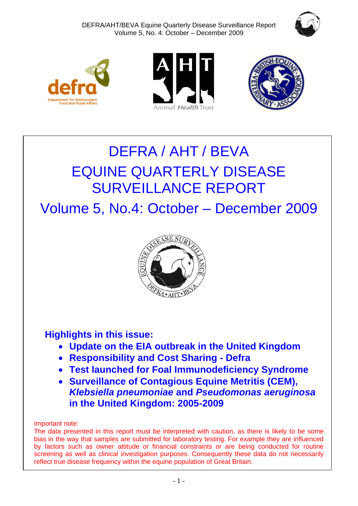







# DEFRA / AHT / BEVA EQUINE QUARTERLY DISEASE SURVEILLANCE REPORT

Volume 5, No.4: October – December 2009



# **Highlights in this issue:**

- **Update on the EIA outbreak in the United Kingdom**
- **Responsibility and Cost Sharing - Defra**
- **Test launched for Foal Immunodeficiency Syndrome**
- **Surveillance of Contagious Equine Metritis (CEM),**  *Klebsiella pneumoniae* **and** *Pseudomonas aeruginosa* **in the United Kingdom: 2005-2009**

Important note:

The data presented in this report must be interpreted with caution, as there is likely to be some bias in the way that samples are submitted for laboratory testing. For example they are influenced by factors such as owner attitude or financial constraints or are being conducted for routine screening as well as clinical investigation purposes. Consequently these data do not necessarily reflect true disease frequency within the equine population of Great Britain.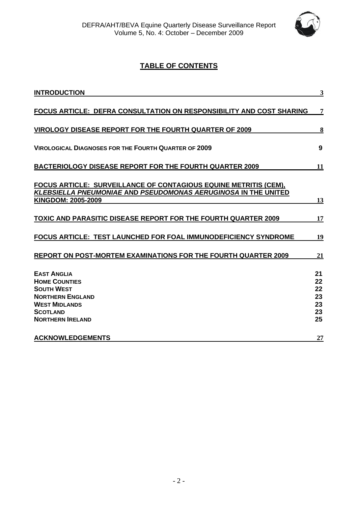

# **TABLE OF CONTENTS**

| <b>INTRODUCTION</b>                                                                                                                                              | 3                                      |
|------------------------------------------------------------------------------------------------------------------------------------------------------------------|----------------------------------------|
| <b>FOCUS ARTICLE: DEFRA CONSULTATION ON RESPONSIBILITY AND COST SHARING</b>                                                                                      | 7                                      |
| <b>VIROLOGY DISEASE REPORT FOR THE FOURTH QUARTER OF 2009</b>                                                                                                    | 8                                      |
| <b>VIROLOGICAL DIAGNOSES FOR THE FOURTH QUARTER OF 2009</b>                                                                                                      | 9                                      |
| <b>BACTERIOLOGY DISEASE REPORT FOR THE FOURTH QUARTER 2009</b>                                                                                                   | 11                                     |
| FOCUS ARTICLE: SURVEILLANCE OF CONTAGIOUS EQUINE METRITIS (CEM),<br><b>KLEBSIELLA PNEUMONIAE AND PSEUDOMONAS AERUGINOSA IN THE UNITED</b><br>KINGDOM: 2005-2009  | 13                                     |
| TOXIC AND PARASITIC DISEASE REPORT FOR THE FOURTH QUARTER 2009                                                                                                   | 17                                     |
| <b>FOCUS ARTICLE: TEST LAUNCHED FOR FOAL IMMUNODEFICIENCY SYNDROME</b>                                                                                           | 19                                     |
| <b>REPORT ON POST-MORTEM EXAMINATIONS FOR THE FOURTH QUARTER 2009</b>                                                                                            | 21                                     |
| <b>EAST ANGLIA</b><br><b>HOME COUNTIES</b><br><b>SOUTH WEST</b><br><b>NORTHERN ENGLAND</b><br><b>WEST MIDLANDS</b><br><b>SCOTLAND</b><br><b>NORTHERN IRELAND</b> | 21<br>22<br>22<br>23<br>23<br>23<br>25 |
| <b>ACKNOWLEDGEMENTS</b>                                                                                                                                          | 27                                     |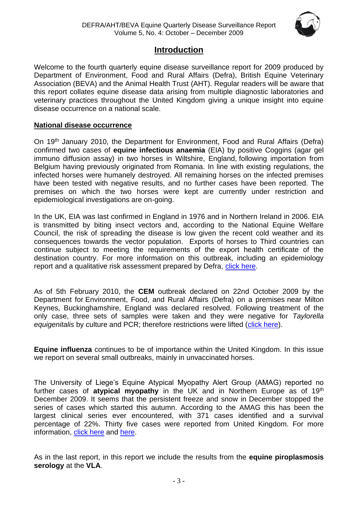

# **Introduction**

<span id="page-2-0"></span>Welcome to the fourth quarterly equine disease surveillance report for 2009 produced by Department of Environment, Food and Rural Affairs (Defra), British Equine Veterinary Association (BEVA) and the Animal Health Trust (AHT). Regular readers will be aware that this report collates equine disease data arising from multiple diagnostic laboratories and veterinary practices throughout the United Kingdom giving a unique insight into equine disease occurrence on a national scale.

# **National disease occurrence**

On 19<sup>th</sup> January 2010, the Department for Environment, Food and Rural Affairs (Defra) confirmed two cases of **equine infectious anaemia** (EIA) by positive Coggins (agar gel immuno diffusion assay) in two horses in Wiltshire, England, following importation from Belgium having previously originated from Romania. In line with existing regulations, the infected horses were humanely destroyed. All remaining horses on the infected premises have been tested with negative results, and no further cases have been reported. The premises on which the two horses were kept are currently under restriction and epidemiological investigations are on-going.

In the UK, EIA was last confirmed in England in 1976 and in Northern Ireland in 2006. EIA is transmitted by biting insect vectors and, according to the National Equine Welfare Council, the risk of spreading the disease is low given the recent cold weather and its consequences towards the vector population. Exports of horses to Third countries can continue subject to meeting the requirements of the export health certificate of the destination country. For more information on this outbreak, including an epidemiology report and a qualitative risk assessment prepared by Defra, [click here.](http://www.defra.gov.uk/foodfarm/farmanimal/diseases/atoz/eia/latest/index.htm)

As of 5th February 2010, the **CEM** outbreak declared on 22nd October 2009 by the Department for Environment, Food, and Rural Affairs (Defra) on a premises near Milton Keynes, Buckinghamshire, England was declared resolved. Following treatment of the only case, three sets of samples were taken and they were negative for *Taylorella equigenitalis* by culture and PCR; therefore restrictions were lifted [\(click here\)](http://www.oie.int/wahis/public.php?page=single_report&pop=1&reportid=8935).

**Equine influenza** continues to be of importance within the United Kingdom. In this issue we report on several small outbreaks, mainly in unvaccinated horses.

The University of Liege's Equine Atypical Myopathy Alert Group (AMAG) reported no further cases of **atypical myopathy** in the UK and in Northern Europe as of 19th December 2009. It seems that the persistent freeze and snow in December stopped the series of cases which started this autumn. According to the AMAG this has been the largest clinical series ever encountered, with 371 cases identified and a survival percentage of 22%. Thirty five cases were reported from United Kingdom. For more information, [click here](http://www.myopathieatypique.be/) and [here.](http://www.promedmail.org/pls/otn/f?p=2400:1000:)

As in the last report, in this report we include the results from the **equine piroplasmosis serology** at the **VLA**.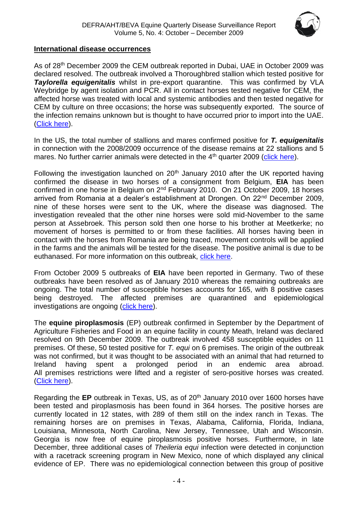

# **International disease occurrences**

As of 28<sup>th</sup> December 2009 the CEM outbreak reported in Dubai, UAE in October 2009 was declared resolved. The outbreak involved a Thoroughbred stallion which tested positive for *Taylorella equigenitalis* whilst in pre-export quarantine. This was confirmed by VLA Weybridge by agent isolation and PCR. All in contact horses tested negative for CEM, the affected horse was treated with local and systemic antibodies and then tested negative for CEM by culture on three occasions; the horse was subsequently exported. The source of the infection remains unknown but is thought to have occurred prior to import into the UAE. [\(Click here\)](http://www.oie.int/wahis/public.php?page=single_report&pop=1&reportid=8658).

In the US, the total number of stallions and mares confirmed positive for *T. equigenitalis* in connection with the 2008/2009 occurrence of the disease remains at 22 stallions and 5 mares. No further carrier animals were detected in the 4<sup>th</sup> quarter 2009 [\(click here\)](http://www.oie.int/wahis/public.php?page=single_report&pop=1&reportid=8550).

Following the investigation launched on  $20<sup>th</sup>$  January 2010 after the UK reported having confirmed the disease in two horses of a consignment from Belgium, **EIA** has been confirmed in one horse in Belgium on 2nd February 2010. On 21 October 2009, 18 horses arrived from Romania at a dealer's establishment at Drongen. On 22<sup>nd</sup> December 2009, nine of these horses were sent to the UK, where the disease was diagnosed. The investigation revealed that the other nine horses were sold mid-November to the same person at Assebroek. This person sold then one horse to his brother at Meetkerke; no movement of horses is permitted to or from these facilities. All horses having been in contact with the horses from Romania are being traced, movement controls will be applied in the farms and the animals will be tested for the disease. The positive animal is due to be euthanased. For more information on this outbreak, [click here.](http://www.oie.int/wahis/public.php?page=single_report&pop=1&reportid=8917)

From October 2009 5 outbreaks of **EIA** have been reported in Germany. Two of these outbreaks have been resolved as of January 2010 whereas the remaining outbreaks are ongoing. The total number of susceptible horses accounts for 165, with 8 positive cases being destroyed. The affected premises are quarantined and epidemiological investigations are ongoing [\(click here\)](http://www.oie.int/wahis/public.php?page=single_report&pop=1&reportid=8704).

The **equine piroplasmosis** (EP) outbreak confirmed in September by the Department of Agriculture Fisheries and Food in an equine facility in county Meath, Ireland was declared resolved on 9th December 2009. The outbreak involved 458 susceptible equides on 11 premises. Of these, 50 tested positive for *T. equi* on 6 premises. The origin of the outbreak was not confirmed, but it was thought to be associated with an animal that had returned to Ireland having spent a prolonged period in an endemic area abroad. All premises restrictions were lifted and a register of sero-positive horses was created. [\(Click here\)](http://www.oie.int/wahis/public.php?page=single_report&pop=1&reportid=8745).

Regarding the **EP** outbreak in Texas, US, as of 20<sup>th</sup> January 2010 over 1600 horses have been tested and piroplasmosis has been found in 364 horses. The positive horses are currently located in 12 states, with 289 of them still on the index ranch in Texas. The remaining horses are on premises in Texas, Alabama, California, Florida, Indiana, Louisiana, Minnesota, North Carolina, New Jersey, Tennessee, Utah and Wisconsin. Georgia is now free of equine piroplasmosis positive horses. Furthermore, in late December, three additional cases of *Theileria equi* infection were detected in conjunction with a racetrack screening program in New Mexico, none of which displayed any clinical evidence of EP. There was no epidemiological connection between this group of positive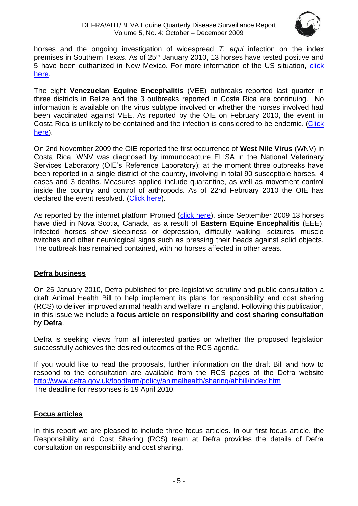

horses and the ongoing investigation of widespread *T. equi* infection on the index premises in Southern Texas. As of 25<sup>th</sup> January 2010, 13 horses have tested positive and 5 have been euthanized in New Mexico. For more information of the US situation, [click](http://www.oie.int/wahis/public.php?page=disease_immediate_summary&disease_type=Terrestrial&disease_id=61&empty=999999)  [here.](http://www.oie.int/wahis/public.php?page=disease_immediate_summary&disease_type=Terrestrial&disease_id=61&empty=999999)

The eight **Venezuelan Equine Encephalitis** (VEE) outbreaks reported last quarter in three districts in Belize and the 3 outbreaks reported in Costa Rica are continuing. No information is available on the virus subtype involved or whether the horses involved had been vaccinated against VEE. As reported by the OIE on February 2010, the event in Costa Rica is unlikely to be contained and the infection is considered to be endemic. [\(Click](http://www.oie.int/wahis/public.php?page=disease_immediate_summary&disease_type=Terrestrial&disease_id=70&empty=999999)  [here\)](http://www.oie.int/wahis/public.php?page=disease_immediate_summary&disease_type=Terrestrial&disease_id=70&empty=999999).

On 2nd November 2009 the OIE reported the first occurrence of **West Nile Virus** (WNV) in Costa Rica. WNV was diagnosed by immunocapture ELISA in the National Veterinary Services Laboratory (OIE's Reference Laboratory); at the moment three outbreaks have been reported in a single district of the country, involving in total 90 susceptible horses, 4 cases and 3 deaths. Measures applied include quarantine, as well as movement control inside the country and control of arthropods. As of 22nd February 2010 the OIE has declared the event resolved. [\(Click here\)](http://www.oie.int/wahis/public.php?page=single_report&pop=1&reportid=8743).

As reported by the internet platform Promed [\(click here\)](http://www.promedmail.org/pls/apex/f?p=2400:1000), since September 2009 13 horses have died in Nova Scotia, Canada, as a result of **Eastern Equine Encephalitis** (EEE). Infected horses show sleepiness or depression, difficulty walking, seizures, muscle twitches and other neurological signs such as pressing their heads against solid objects. The outbreak has remained contained, with no horses affected in other areas.

# **Defra business**

On 25 January 2010, Defra published for pre-legislative scrutiny and public consultation a draft Animal Health Bill to help implement its plans for responsibility and cost sharing (RCS) to deliver improved animal health and welfare in England. Following this publication, in this issue we include a **focus article** on **responsibility and cost sharing consultation** by **Defra**.

Defra is seeking views from all interested parties on whether the proposed legislation successfully achieves the desired outcomes of the RCS agenda.

If you would like to read the proposals, further information on the draft Bill and how to respond to the consultation are available from the RCS pages of the Defra website <http://www.defra.gov.uk/foodfarm/policy/animalhealth/sharing/ahbill/index.htm> The deadline for responses is 19 April 2010.

# **Focus articles**

In this report we are pleased to include three focus articles. In our first focus article, the Responsibility and Cost Sharing (RCS) team at Defra provides the details of Defra consultation on responsibility and cost sharing.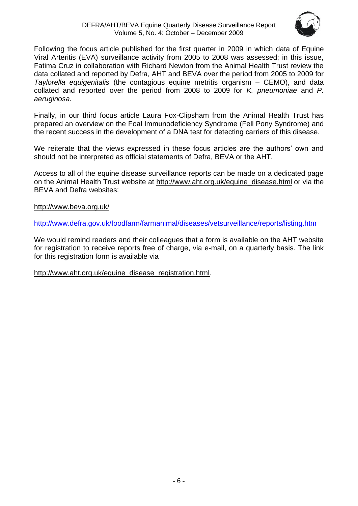

Following the focus article published for the first quarter in 2009 in which data of Equine Viral Arteritis (EVA) surveillance activity from 2005 to 2008 was assessed; in this issue, Fatima Cruz in collaboration with Richard Newton from the Animal Health Trust review the data collated and reported by Defra, AHT and BEVA over the period from 2005 to 2009 for *Taylorella equigenitalis* (the contagious equine metritis organism – CEMO), and data collated and reported over the period from 2008 to 2009 for *K. pneumoniae* and *P. aeruginosa.* 

Finally, in our third focus article Laura Fox-Clipsham from the Animal Health Trust has prepared an overview on the Foal Immunodeficiency Syndrome (Fell Pony Syndrome) and the recent success in the development of a DNA test for detecting carriers of this disease.

We reiterate that the views expressed in these focus articles are the authors' own and should not be interpreted as official statements of Defra, BEVA or the AHT.

Access to all of the equine disease surveillance reports can be made on a dedicated page on the Animal Health Trust website at [http://www.aht.org.uk/equine\\_disease.html](http://www.aht.org.uk/equine_disease.html) or via the BEVA and Defra websites:

<http://www.beva.org.uk/>

<http://www.defra.gov.uk/foodfarm/farmanimal/diseases/vetsurveillance/reports/listing.htm>

We would remind readers and their colleagues that a form is available on the AHT website for registration to receive reports free of charge, via e-mail, on a quarterly basis. The link for this registration form is available via

[http://www.aht.org.uk/equine\\_disease\\_registration.html.](http://www.aht.org.uk/equine_disease_registration.html)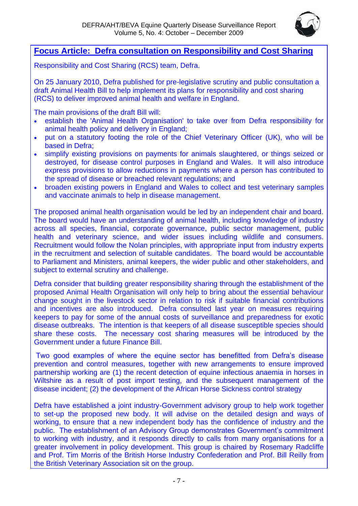

# <span id="page-6-0"></span>**Focus Article: Defra consultation on Responsibility and Cost Sharing**

Responsibility and Cost Sharing (RCS) team, Defra.

On 25 January 2010, Defra published for pre-legislative scrutiny and public consultation a draft Animal Health Bill to help implement its plans for responsibility and cost sharing (RCS) to deliver improved animal health and welfare in England.

The main provisions of the draft Bill will:

- establish the 'Animal Health Organisation' to take over from Defra responsibility for animal health policy and delivery in England;
- put on a statutory footing the role of the Chief Veterinary Officer (UK), who will be based in Defra;
- simplify existing provisions on payments for animals slaughtered, or things seized or destroyed, for disease control purposes in England and Wales. It will also introduce express provisions to allow reductions in payments where a person has contributed to the spread of disease or breached relevant regulations; and
- broaden existing powers in England and Wales to collect and test veterinary samples and vaccinate animals to help in disease management.

The proposed animal health organisation would be led by an independent chair and board. The board would have an understanding of animal health, including knowledge of industry across all species, financial, corporate governance, public sector management, public health and veterinary science, and wider issues including wildlife and consumers. Recruitment would follow the Nolan principles, with appropriate input from industry experts in the recruitment and selection of suitable candidates. The board would be accountable to Parliament and Ministers, animal keepers, the wider public and other stakeholders, and subject to external scrutiny and challenge.

Defra consider that building greater responsibility sharing through the establishment of the proposed Animal Health Organisation will only help to bring about the essential behaviour change sought in the livestock sector in relation to risk if suitable financial contributions and incentives are also introduced. Defra consulted last year on measures requiring keepers to pay for some of the annual costs of surveillance and preparedness for exotic disease outbreaks. The intention is that keepers of all disease susceptible species should share these costs. The necessary cost sharing measures will be introduced by the Government under a future Finance Bill.

Two good examples of where the equine sector has benefitted from Defra's disease prevention and control measures, together with new arrangements to ensure improved partnership working are (1) the recent detection of equine infectious anaemia in horses in Wiltshire as a result of post import testing, and the subsequent management of the disease incident; (2) the development of the African Horse Sickness control strategy

Defra have established a joint industry-Government advisory group to help work together to set-up the proposed new body. It will advise on the detailed design and ways of working, to ensure that a new independent body has the confidence of industry and the public. The establishment of an Advisory Group demonstrates Government's commitment to working with industry, and it responds directly to calls from many organisations for a greater involvement in policy development. This group is chaired by Rosemary Radcliffe and Prof. Tim Morris of the British Horse Industry Confederation and Prof. Bill Reilly from the British Veterinary Association sit on the group.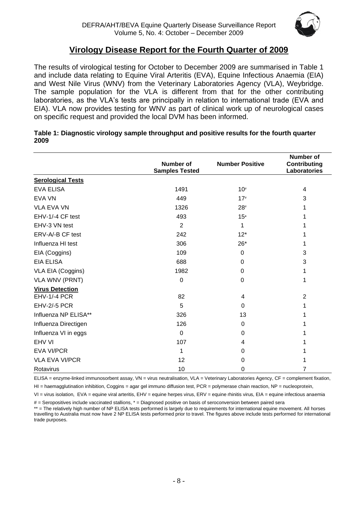

# **Virology Disease Report for the Fourth Quarter of 2009**

<span id="page-7-0"></span>The results of virological testing for October to December 2009 are summarised in Table 1 and include data relating to Equine Viral Arteritis (EVA), Equine Infectious Anaemia (EIA) and West Nile Virus (WNV) from the Veterinary Laboratories Agency (VLA), Weybridge. The sample population for the VLA is different from that for the other contributing laboratories, as the VLA's tests are principally in relation to international trade (EVA and EIA). VLA now provides testing for WNV as part of clinical work up of neurological cases on specific request and provided the local DVM has been informed.

|                          | <b>Number of</b><br><b>Samples Tested</b> | <b>Number Positive</b> | <b>Number of</b><br>Contributing<br>Laboratories |
|--------------------------|-------------------------------------------|------------------------|--------------------------------------------------|
| <b>Serological Tests</b> |                                           |                        |                                                  |
| <b>EVA ELISA</b>         | 1491                                      | $10\#$                 | 4                                                |
| <b>EVA VN</b>            | 449                                       | $17*$                  | 3                                                |
| <b>VLA EVA VN</b>        | 1326                                      | $28*$                  | 1                                                |
| EHV-1/-4 CF test         | 493                                       | $15*$                  | 1                                                |
| EHV-3 VN test            | $\overline{2}$                            | 1                      | 1                                                |
| ERV-A/-B CF test         | 242                                       | $12*$                  | 1                                                |
| Influenza HI test        | 306                                       | $26*$                  | 1                                                |
| EIA (Coggins)            | 109                                       | $\Omega$               | 3                                                |
| <b>EIA ELISA</b>         | 688                                       | $\Omega$               | 3                                                |
| VLA EIA (Coggins)        | 1982                                      | $\Omega$               | 1                                                |
| <b>VLA WNV (PRNT)</b>    | $\mathbf 0$                               | 0                      | 1                                                |
| <b>Virus Detection</b>   |                                           |                        |                                                  |
| <b>EHV-1/-4 PCR</b>      | 82                                        | 4                      | $\overline{2}$                                   |
| EHV-2/-5 PCR             | 5                                         | $\Omega$               | 1                                                |
| Influenza NP ELISA**     | 326                                       | 13                     |                                                  |
| Influenza Directigen     | 126                                       | $\Omega$               |                                                  |
| Influenza VI in eggs     | 0                                         | $\Omega$               |                                                  |
| EHV VI                   | 107                                       | 4                      |                                                  |
| <b>EVA VI/PCR</b>        | 1                                         | $\Omega$               |                                                  |
| <b>VLA EVA VI/PCR</b>    | 12                                        | 0                      |                                                  |
| Rotavirus                | 10                                        | 0                      | 7                                                |

#### **Table 1: Diagnostic virology sample throughput and positive results for the fourth quarter 2009**

ELISA = enzyme-linked immunosorbent assay, VN = virus neutralisation, VLA = Veterinary Laboratories Agency, CF = complement fixation,

 $H =$  haemagglutination inhibition, Coggins = agar gel immuno diffusion test, PCR = polymerase chain reaction, NP = nucleoprotein,

VI = virus isolation, EVA = equine viral arteritis, EHV = equine herpes virus, ERV = equine rhinitis virus, EIA = equine infectious anaemia

# = Seropositives include vaccinated stallions, \* = Diagnosed positive on basis of seroconversion between paired sera

\*\* = The relatively high number of NP ELISA tests performed is largely due to requirements for international equine movement. All horses travelling to Australia must now have 2 NP ELISA tests performed prior to travel. The figures above include tests performed for international trade purposes.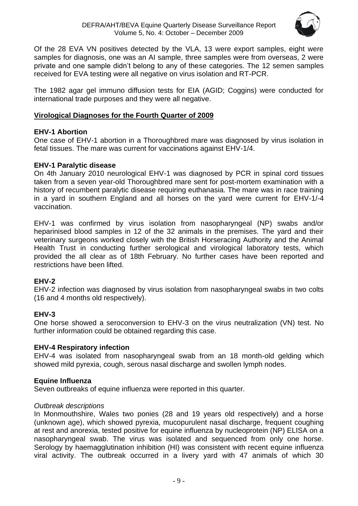

Of the 28 EVA VN positives detected by the VLA, 13 were export samples, eight were samples for diagnosis, one was an AI sample, three samples were from overseas, 2 were private and one sample didn't belong to any of these categories. The 12 semen samples received for EVA testing were all negative on virus isolation and RT-PCR.

The 1982 agar gel immuno diffusion tests for EIA (AGID; Coggins) were conducted for international trade purposes and they were all negative.

# <span id="page-8-0"></span>**Virological Diagnoses for the Fourth Quarter of 2009**

# **EHV-1 Abortion**

One case of EHV-1 abortion in a Thoroughbred mare was diagnosed by virus isolation in fetal tissues. The mare was current for vaccinations against EHV-1/4.

# **EHV-1 Paralytic disease**

On 4th January 2010 neurological EHV-1 was diagnosed by PCR in spinal cord tissues taken from a seven year-old Thoroughbred mare sent for post-mortem examination with a history of recumbent paralytic disease requiring euthanasia. The mare was in race training in a yard in southern England and all horses on the yard were current for EHV-1/-4 vaccination.

EHV-1 was confirmed by virus isolation from nasopharyngeal (NP) swabs and/or heparinised blood samples in 12 of the 32 animals in the premises. The yard and their veterinary surgeons worked closely with the British Horseracing Authority and the Animal Health Trust in conducting further serological and virological laboratory tests, which provided the all clear as of 18th February. No further cases have been reported and restrictions have been lifted.

# **EHV-2**

EHV-2 infection was diagnosed by virus isolation from nasopharyngeal swabs in two colts (16 and 4 months old respectively).

# **EHV-3**

One horse showed a seroconversion to EHV-3 on the virus neutralization (VN) test. No further information could be obtained regarding this case.

# **EHV-4 Respiratory infection**

EHV-4 was isolated from nasopharyngeal swab from an 18 month-old gelding which showed mild pyrexia, cough, serous nasal discharge and swollen lymph nodes.

# **Equine Influenza**

Seven outbreaks of equine influenza were reported in this quarter.

# *Outbreak descriptions*

In Monmouthshire, Wales two ponies (28 and 19 years old respectively) and a horse (unknown age), which showed pyrexia, mucopurulent nasal discharge, frequent coughing at rest and anorexia, tested positive for equine influenza by nucleoprotein (NP) ELISA on a nasopharyngeal swab. The virus was isolated and sequenced from only one horse. Serology by haemagglutination inhibition (HI) was consistent with recent equine influenza viral activity. The outbreak occurred in a livery yard with 47 animals of which 30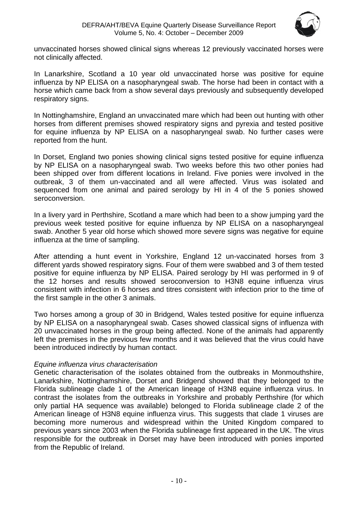

unvaccinated horses showed clinical signs whereas 12 previously vaccinated horses were not clinically affected.

In Lanarkshire, Scotland a 10 year old unvaccinated horse was positive for equine influenza by NP ELISA on a nasopharyngeal swab. The horse had been in contact with a horse which came back from a show several days previously and subsequently developed respiratory signs.

In Nottinghamshire, England an unvaccinated mare which had been out hunting with other horses from different premises showed respiratory signs and pyrexia and tested positive for equine influenza by NP ELISA on a nasopharyngeal swab. No further cases were reported from the hunt.

In Dorset, England two ponies showing clinical signs tested positive for equine influenza by NP ELISA on a nasopharyngeal swab. Two weeks before this two other ponies had been shipped over from different locations in Ireland. Five ponies were involved in the outbreak, 3 of them un-vaccinated and all were affected. Virus was isolated and sequenced from one animal and paired serology by HI in 4 of the 5 ponies showed seroconversion.

In a livery yard in Perthshire, Scotland a mare which had been to a show jumping yard the previous week tested positive for equine influenza by NP ELISA on a nasopharyngeal swab. Another 5 year old horse which showed more severe signs was negative for equine influenza at the time of sampling.

After attending a hunt event in Yorkshire, England 12 un-vaccinated horses from 3 different yards showed respiratory signs. Four of them were swabbed and 3 of them tested positive for equine influenza by NP ELISA. Paired serology by HI was performed in 9 of the 12 horses and results showed seroconversion to H3N8 equine influenza virus consistent with infection in 6 horses and titres consistent with infection prior to the time of the first sample in the other 3 animals.

Two horses among a group of 30 in Bridgend, Wales tested positive for equine influenza by NP ELISA on a nasopharyngeal swab. Cases showed classical signs of influenza with 20 unvaccinated horses in the group being affected. None of the animals had apparently left the premises in the previous few months and it was believed that the virus could have been introduced indirectly by human contact.

# *Equine influenza virus characterisation*

Genetic characterisation of the isolates obtained from the outbreaks in Monmouthshire, Lanarkshire, Nottinghamshire, Dorset and Bridgend showed that they belonged to the Florida sublineage clade 1 of the American lineage of H3N8 equine influenza virus. In contrast the isolates from the outbreaks in Yorkshire and probably Perthshire (for which only partial HA sequence was available) belonged to Florida sublineage clade 2 of the American lineage of H3N8 equine influenza virus. This suggests that clade 1 viruses are becoming more numerous and widespread within the United Kingdom compared to previous years since 2003 when the Florida sublineage first appeared in the UK. The virus responsible for the outbreak in Dorset may have been introduced with ponies imported from the Republic of Ireland.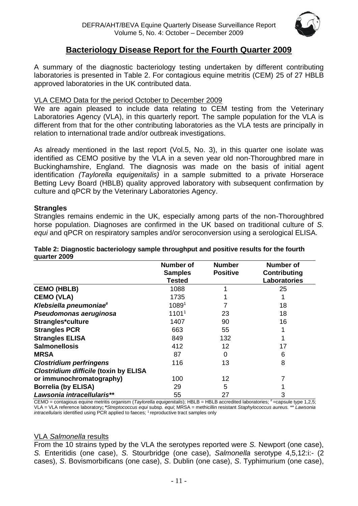

# **Bacteriology Disease Report for the Fourth Quarter 2009**

<span id="page-10-0"></span>A summary of the diagnostic bacteriology testing undertaken by different contributing laboratories is presented in Table 2. For contagious equine metritis (CEM) 25 of 27 HBLB approved laboratories in the UK contributed data.

# VLA CEMO Data for the period October to December 2009

We are again pleased to include data relating to CEM testing from the Veterinary Laboratories Agency (VLA), in this quarterly report. The sample population for the VLA is different from that for the other contributing laboratories as the VLA tests are principally in relation to international trade and/or outbreak investigations.

As already mentioned in the last report (Vol.5, No. 3), in this quarter one isolate was identified as CEMO positive by the VLA in a seven year old non-Thoroughbred mare in Buckinghamshire, England. The diagnosis was made on the basis of initial agent identification *(Taylorella equigenitalis)* in a sample submitted to a private Horserace Betting Levy Board (HBLB) quality approved laboratory with subsequent confirmation by culture and qPCR by the Veterinary Laboratories Agency.

#### **Strangles**

Strangles remains endemic in the UK, especially among parts of the non-Thoroughbred horse population. Diagnoses are confirmed in the UK based on traditional culture of *S. equi* and qPCR on respiratory samples and/or seroconversion using a serological ELISA.

|                                              | <b>Number of</b><br><b>Samples</b><br><b>Tested</b> | <b>Number</b><br><b>Positive</b> | <b>Number of</b><br><b>Contributing</b><br><b>Laboratories</b> |
|----------------------------------------------|-----------------------------------------------------|----------------------------------|----------------------------------------------------------------|
| <b>CEMO (HBLB)</b>                           | 1088                                                |                                  | 25                                                             |
| <b>CEMO (VLA)</b>                            | 1735                                                |                                  |                                                                |
| Klebsiella pneumoniae <sup>#</sup>           | 10891                                               |                                  | 18                                                             |
| Pseudomonas aeruginosa                       | 1101 <sup>1</sup>                                   | 23                               | 18                                                             |
| Strangles*culture                            | 1407                                                | 90                               | 16                                                             |
| <b>Strangles PCR</b>                         | 663                                                 | 55                               |                                                                |
| <b>Strangles ELISA</b>                       | 849                                                 | 132                              |                                                                |
| <b>Salmonellosis</b>                         | 412                                                 | 12                               | 17                                                             |
| <b>MRSA</b>                                  | 87                                                  | 0                                | 6                                                              |
| <b>Clostridium perfringens</b>               | 116                                                 | 13                               | 8                                                              |
| <b>Clostridium difficile (toxin by ELISA</b> |                                                     |                                  |                                                                |
| or immunochromatography)                     | 100                                                 | 12                               |                                                                |
| <b>Borrelia (by ELISA)</b>                   | 29                                                  | 5                                |                                                                |
| Lawsonia intracellularis**                   | 55                                                  | 27                               | 3                                                              |

#### **Table 2: Diagnostic bacteriology sample throughput and positive results for the fourth quarter 2009**

CEMO = contagious equine metritis organism (Taylorella equigenitalis); HBLB = HBLB accredited laboratories; #=capsule type 1,2,5; VLA = VLA reference laboratory**; \****Streptococcus equi* subsp*. equi*; MRSA = methicillin resistant *Staphylococcus aureus.* \*\* *Lawsonia intracellularis* identified using PCR applied to faeces; <sup>1</sup> reproductive tract samples only

#### VLA *Salmonella* results

From the 10 strains typed by the VLA the serotypes reported were *S.* Newport (one case), *S.* Enteritidis (one case), *S.* Stourbridge (one case), *Salmonella* serotype 4,5,12:i:- (2 cases), *S*. Bovismorbificans (one case), *S*. Dublin (one case), *S*. Typhimurium (one case),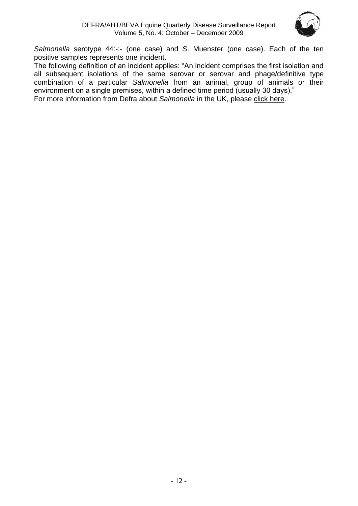

*Salmonella* serotype 44:-:- (one case) and *S*. Muenster (one case). Each of the ten positive samples represents one incident.

The following definition of an incident applies: "An incident comprises the first isolation and all subsequent isolations of the same serovar or serovar and phage/definitive type combination of a particular *Salmonella* from an animal, group of animals or their environment on a single premises, within a defined time period (usually 30 days)."

For more information from Defra about *Salmonella* in the UK, please [click here.](http://www.defra.gov.uk/vla/reports/rep_salm_rep07.htm)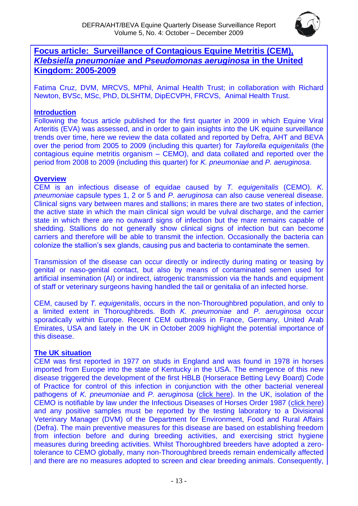

# <span id="page-12-0"></span>**Focus article: Surveillance of Contagious Equine Metritis (CEM),**  *Klebsiella pneumoniae* **and** *Pseudomonas aeruginosa* **in the United Kingdom: 2005-2009**

Fatima Cruz, DVM, MRCVS, MPhil, Animal Health Trust; in collaboration with Richard Newton, BVSc, MSc, PhD, DLSHTM, DipECVPH, FRCVS, Animal Health Trust.

# **Introduction**

Following the focus article published for the first quarter in 2009 in which Equine Viral Arteritis (EVA) was assessed, and in order to gain insights into the UK equine surveillance trends over time, here we review the data collated and reported by Defra, AHT and BEVA over the period from 2005 to 2009 (including this quarter) for *Taylorella equigenitalis* (the contagious equine metritis organism – CEMO), and data collated and reported over the period from 2008 to 2009 (including this quarter) for *K. pneumoniae* and *P. aeruginosa*.

# **Overview**

CEM is an infectious disease of equidae caused by *T. equigenitalis* (CEMO). *K. pneumoniae* capsule types 1, 2 or 5 and *P. aeruginosa* can also cause venereal disease. Clinical signs vary between mares and stallions; in mares there are two states of infection, the active state in which the main clinical sign would be vulval discharge, and the carrier state in which there are no outward signs of infection but the mare remains capable of shedding. Stallions do not generally show clinical signs of infection but can become carriers and therefore will be able to transmit the infection. Occasionally the bacteria can colonize the stallion's sex glands, causing pus and bacteria to contaminate the semen.

Transmission of the disease can occur directly or indirectly during mating or teasing by genital or naso-genital contact, but also by means of contaminated semen used for artificial insemination (AI) or indirect, iatrogenic transmission via the hands and equipment of staff or veterinary surgeons having handled the tail or genitalia of an infected horse.

CEM, caused by *T. equigenitalis*, occurs in the non-Thoroughbred population, and only to a limited extent in Thoroughbreds. Both *K. pneumoniae* and *P. aeruginosa* occur sporadically within Europe. Recent CEM outbreaks in France, Germany, United Arab Emirates, USA and lately in the UK in October 2009 highlight the potential importance of this disease.

# **The UK situation**

CEM was first reported in 1977 on studs in England and was found in 1978 in horses imported from Europe into the state of Kentucky in the USA. The emergence of this new disease triggered the development of the first HBLB (Horserace Betting Levy Board) Code of Practice for control of this infection in conjunction with the other bacterial venereal pathogens of *K. pneumoniae* and *P. aeruginosa* [\(click here\)](http://www.hblb.org.uk/document.php?id=43). In the UK, isolation of the CEMO is notifiable by law under the Infectious Diseases of Horses Order 1987 [\(click here\)](http://www.opsi.gov.uk/si/si1987/Uksi_19870790_en_1.htm) and any positive samples must be reported by the testing laboratory to a Divisional Veterinary Manager (DVM) of the Department for Environment, Food and Rural Affairs (Defra). The main preventive measures for this disease are based on establishing freedom from infection before and during breeding activities, and exercising strict hygiene measures during breeding activities. Whilst Thoroughbred breeders have adopted a zerotolerance to CEMO globally, many non-Thoroughbred breeds remain endemically affected and there are no measures adopted to screen and clear breeding animals. Consequently,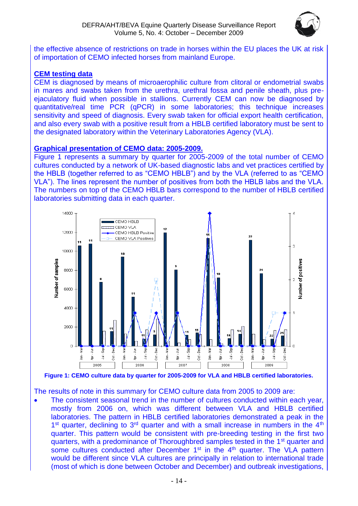

the effective absence of restrictions on trade in horses within the EU places the UK at risk of importation of CEMO infected horses from mainland Europe.

# **CEM testing data**

CEM is diagnosed by means of microaerophilic culture from clitoral or endometrial swabs in mares and swabs taken from the urethra, urethral fossa and penile sheath, plus preejaculatory fluid when possible in stallions. Currently CEM can now be diagnosed by quantitative/real time PCR (qPCR) in some laboratories; this technique increases sensitivity and speed of diagnosis. Every swab taken for official export health certification, and also every swab with a positive result from a HBLB certified laboratory must be sent to the designated laboratory within the Veterinary Laboratories Agency (VLA).

#### **Graphical presentation of CEMO data: 2005-2009.**

Figure 1 represents a summary by quarter for 2005-2009 of the total number of CEMO cultures conducted by a network of UK-based diagnostic labs and vet practices certified by the HBLB (together referred to as "CEMO HBLB") and by the VLA (referred to as "CEMO VLA"). The lines represent the number of positives from both the HBLB labs and the VLA. The numbers on top of the CEMO HBLB bars correspond to the number of HBLB certified laboratories submitting data in each quarter.



**Figure 1: CEMO culture data by quarter for 2005-2009 for VLA and HBLB certified laboratories.**

The results of note in this summary for CEMO culture data from 2005 to 2009 are:

• The consistent seasonal trend in the number of cultures conducted within each year, mostly from 2006 on, which was different between VLA and HBLB certified laboratories. The pattern in HBLB certified laboratories demonstrated a peak in the  $1<sup>st</sup>$  quarter, declining to  $3<sup>rd</sup>$  quarter and with a small increase in numbers in the  $4<sup>th</sup>$ quarter. This pattern would be consistent with pre-breeding testing in the first two quarters, with a predominance of Thoroughbred samples tested in the 1<sup>st</sup> quarter and some cultures conducted after December 1<sup>st</sup> in the 4<sup>th</sup> quarter. The VLA pattern would be different since VLA cultures are principally in relation to international trade (most of which is done between October and December) and outbreak investigations,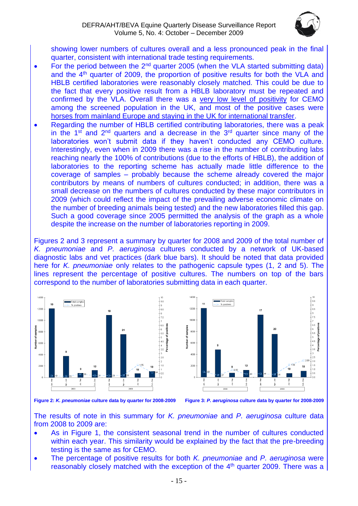

showing lower numbers of cultures overall and a less pronounced peak in the final quarter, consistent with international trade testing requirements.

- For the period between the  $2<sup>nd</sup>$  quarter 2005 (when the VLA started submitting data) and the  $4<sup>th</sup>$  quarter of 2009, the proportion of positive results for both the VLA and HBLB certified laboratories were reasonably closely matched. This could be due to the fact that every positive result from a HBLB laboratory must be repeated and confirmed by the VLA. Overall there was a very low level of positivity for CEMO among the screened population in the UK, and most of the positive cases were horses from mainland Europe and staying in the UK for international transfer.
- Regarding the number of HBLB certified contributing laboratories, there was a peak in the  $1<sup>st</sup>$  and  $2<sup>nd</sup>$  quarters and a decrease in the  $3<sup>rd</sup>$  quarter since many of the laboratories won't submit data if they haven't conducted any CEMO culture. Interestingly, even when in 2009 there was a rise in the number of contributing labs reaching nearly the 100% of contributions (due to the efforts of HBLB), the addition of laboratories to the reporting scheme has actually made little difference to the coverage of samples – probably because the scheme already covered the major contributors by means of numbers of cultures conducted; in addition, there was a small decrease on the numbers of cultures conducted by these major contributors in 2009 (which could reflect the impact of the prevailing adverse economic climate on the number of breeding animals being tested) and the new laboratories filled this gap. Such a good coverage since 2005 permitted the analysis of the graph as a whole despite the increase on the number of laboratories reporting in 2009.

Figures 2 and 3 represent a summary by quarter for 2008 and 2009 of the total number of *K. pneumoniae* and *P. aeruginosa* cultures conducted by a network of UK-based diagnostic labs and vet practices (dark blue bars). It should be noted that data provided here for *K. pneumoniae* only relates to the pathogenic capsule types (1, 2 and 5). The lines represent the percentage of positive cultures. The numbers on top of the bars correspond to the number of laboratories submitting data in each quarter.



**Figure 2:** *K. pneumoniae* **culture data by quarter for 2008-2009 Figure 3:** *P. aeruginosa* **culture data by quarter for 2008-2009**

The results of note in this summary for *K. pneumoniae* and *P. aeruginosa* culture data from 2008 to 2009 are:

- As in Figure 1, the consistent seasonal trend in the number of cultures conducted within each year. This similarity would be explained by the fact that the pre-breeding testing is the same as for CEMO.
- The percentage of positive results for both *K. pneumoniae* and *P. aeruginosa* were reasonably closely matched with the exception of the  $4<sup>th</sup>$  quarter 2009. There was a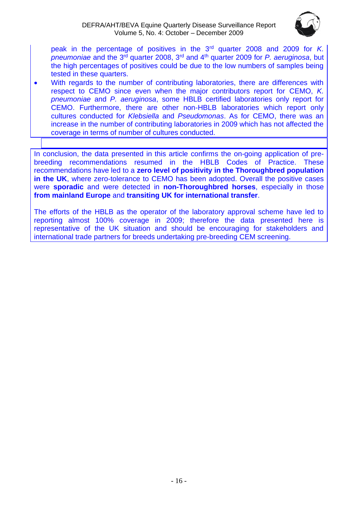

peak in the percentage of positives in the 3rd quarter 2008 and 2009 for *K. pneumoniae* and the 3rd quarter 2008, 3rd and 4th quarter 2009 for *P. aeruginosa*, but the high percentages of positives could be due to the low numbers of samples being tested in these quarters.

With regards to the number of contributing laboratories, there are differences with respect to CEMO since even when the major contributors report for CEMO, *K. pneumoniae* and *P. aeruginosa*, some HBLB certified laboratories only report for CEMO. Furthermore, there are other non-HBLB laboratories which report only cultures conducted for *Klebsiella* and *Pseudomonas*. As for CEMO, there was an increase in the number of contributing laboratories in 2009 which has not affected the coverage in terms of number of cultures conducted.

In conclusion, the data presented in this article confirms the on-going application of prebreeding recommendations resumed in the HBLB Codes of Practice. These recommendations have led to a **zero level of positivity in the Thoroughbred population in the UK**, where zero-tolerance to CEMO has been adopted. Overall the positive cases were **sporadic** and were detected in **non-Thoroughbred horses**, especially in those **from mainland Europe** and **transiting UK for international transfer**.

The efforts of the HBLB as the operator of the laboratory approval scheme have led to reporting almost 100% coverage in 2009; therefore the data presented here is representative of the UK situation and should be encouraging for stakeholders and international trade partners for breeds undertaking pre-breeding CEM screening.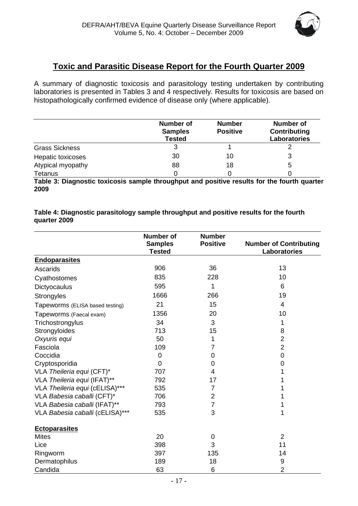

# **Toxic and Parasitic Disease Report for the Fourth Quarter 2009**

<span id="page-16-0"></span>A summary of diagnostic toxicosis and parasitology testing undertaken by contributing laboratories is presented in Tables 3 and 4 respectively. Results for toxicosis are based on histopathologically confirmed evidence of disease only (where applicable).

|                       | <b>Number of</b><br><b>Samples</b><br><b>Tested</b> | <b>Number</b><br><b>Positive</b> | Number of<br>Contributing<br>Laboratories |
|-----------------------|-----------------------------------------------------|----------------------------------|-------------------------------------------|
| <b>Grass Sickness</b> | 3                                                   |                                  |                                           |
| Hepatic toxicoses     | 30                                                  | 10                               | 3                                         |
| Atypical myopathy     | 88                                                  | 18                               | 5                                         |
| <b>Tetanus</b>        |                                                     |                                  |                                           |

**Table 3: Diagnostic toxicosis sample throughput and positive results for the fourth quarter 2009**

**Table 4: Diagnostic parasitology sample throughput and positive results for the fourth quarter 2009**

|                                 | <b>Number of</b><br><b>Samples</b><br><b>Tested</b> | <b>Number</b><br><b>Positive</b> | <b>Number of Contributing</b><br>Laboratories |
|---------------------------------|-----------------------------------------------------|----------------------------------|-----------------------------------------------|
| <b>Endoparasites</b>            |                                                     |                                  |                                               |
| Ascarids                        | 906                                                 | 36                               | 13                                            |
| Cyathostomes                    | 835                                                 | 228                              | 10                                            |
| Dictyocaulus                    | 595                                                 | 1                                | 6                                             |
| Strongyles                      | 1666                                                | 266                              | 19                                            |
| Tapeworms (ELISA based testing) | 21                                                  | 15                               | 4                                             |
| Tapeworms (Faecal exam)         | 1356                                                | 20                               | 10                                            |
| Trichostrongylus                | 34                                                  | 3                                | 1                                             |
| Strongyloides                   | 713                                                 | 15                               | 8                                             |
| Oxyuris equi                    | 50                                                  | 1                                | $\overline{2}$                                |
| Fasciola                        | 109                                                 | 7                                | $\overline{2}$                                |
| Coccidia                        | 0                                                   | 0                                | $\mathbf 0$                                   |
| Cryptosporidia                  | $\overline{0}$                                      | 0                                | 0                                             |
| VLA Theileria equi (CFT)*       | 707                                                 | 4                                | 1                                             |
| VLA Theileria equi (IFAT)**     | 792                                                 | 17                               | 1                                             |
| VLA Theileria equi (cELISA)***  | 535                                                 | 7                                | 1                                             |
| VLA Babesia caballi (CFT)*      | 706                                                 | 2                                | 1                                             |
| VLA Babesia caballi (IFAT)**    | 793                                                 | $\overline{7}$                   | 1                                             |
| VLA Babesia caballi (cELISA)*** | 535                                                 | 3                                | 1                                             |
| <b>Ectoparasites</b>            |                                                     |                                  |                                               |
| <b>Mites</b>                    | 20                                                  | $\mathbf 0$                      | $\overline{2}$                                |
| Lice                            | 398                                                 | 3                                | 11                                            |
| Ringworm                        | 397                                                 | 135                              | 14                                            |
| Dermatophilus                   | 189                                                 | 18                               | $\boldsymbol{9}$                              |
| Candida                         | 63                                                  | 6                                | $\overline{2}$                                |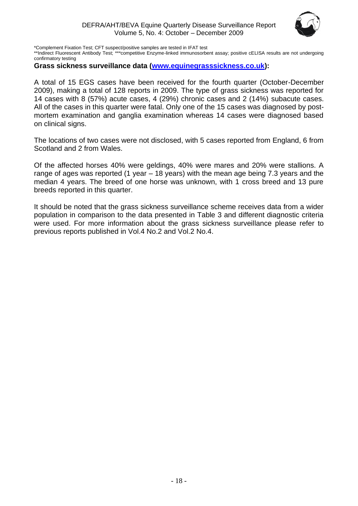

\*Complement Fixation Test; CFT suspect/positive samples are tested in IFAT test

\*\*Indirect Fluorescent Antibody Test; \*\*\*competitive Enzyme-linked immunosorbent assay; positive cELISA results are not undergoing confirmatory testing

#### **Grass sickness surveillance data [\(www.equinegrasssickness.co.uk\)](http://www.equinegrasssickness.co.uk/):**

A total of 15 EGS cases have been received for the fourth quarter (October-December 2009), making a total of 128 reports in 2009. The type of grass sickness was reported for 14 cases with 8 (57%) acute cases, 4 (29%) chronic cases and 2 (14%) subacute cases. All of the cases in this quarter were fatal. Only one of the 15 cases was diagnosed by postmortem examination and ganglia examination whereas 14 cases were diagnosed based on clinical signs.

The locations of two cases were not disclosed, with 5 cases reported from England, 6 from Scotland and 2 from Wales.

Of the affected horses 40% were geldings, 40% were mares and 20% were stallions. A range of ages was reported (1 year – 18 years) with the mean age being 7.3 years and the median 4 years. The breed of one horse was unknown, with 1 cross breed and 13 pure breeds reported in this quarter.

It should be noted that the grass sickness surveillance scheme receives data from a wider population in comparison to the data presented in Table 3 and different diagnostic criteria were used. For more information about the grass sickness surveillance please refer to previous reports published in Vol.4 No.2 and Vol.2 No.4.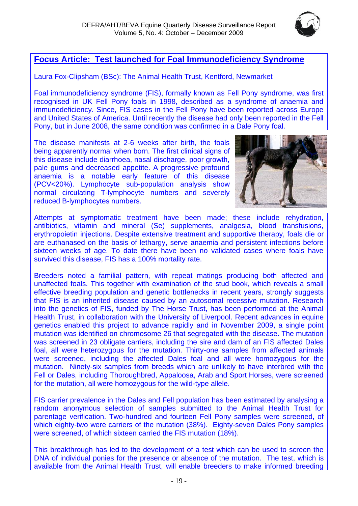

# <span id="page-18-0"></span>**Focus Article: Test launched for Foal Immunodeficiency Syndrome**

Laura Fox-Clipsham (BSc): The Animal Health Trust, Kentford, Newmarket

Foal immunodeficiency syndrome (FIS), formally known as Fell Pony syndrome, was first recognised in UK Fell Pony foals in 1998, described as a syndrome of anaemia and immunodeficiency. Since, FIS cases in the Fell Pony have been reported across Europe and United States of America. Until recently the disease had only been reported in the Fell Pony, but in June 2008, the same condition was confirmed in a Dale Pony foal.

The disease manifests at 2-6 weeks after birth, the foals being apparently normal when born. The first clinical signs of this disease include diarrhoea, nasal discharge, poor growth, pale gums and decreased appetite. A progressive profound anaemia is a notable early feature of this disease (PCV<20%). Lymphocyte sub-population analysis show normal circulating T-lymphocyte numbers and severely reduced B-lymphocytes numbers.



Attempts at symptomatic treatment have been made; these include rehydration, antibiotics, vitamin and mineral (Se) supplements, analgesia, blood transfusions, erythropoietin injections. Despite extensive treatment and supportive therapy, foals die or are euthanased on the basis of lethargy, serve anaemia and persistent infections before sixteen weeks of age. To date there have been no validated cases where foals have survived this disease, FIS has a 100% mortality rate.

Breeders noted a familial pattern, with repeat matings producing both affected and unaffected foals. This together with examination of the stud book, which reveals a small effective breeding population and genetic bottlenecks in recent years, strongly suggests that FIS is an inherited disease caused by an autosomal recessive mutation. Research into the genetics of FIS, funded by The Horse Trust, has been performed at the Animal Health Trust, in collaboration with the University of Liverpool. Recent advances in equine genetics enabled this project to advance rapidly and in November 2009, a single point mutation was identified on chromosome 26 that segregated with the disease. The mutation was screened in 23 obligate carriers, including the sire and dam of an FIS affected Dales foal, all were heterozygous for the mutation. Thirty-one samples from affected animals were screened, including the affected Dales foal and all were homozygous for the mutation. Ninety-six samples from breeds which are unlikely to have interbred with the Fell or Dales, including Thoroughbred, Appaloosa, Arab and Sport Horses, were screened for the mutation, all were homozygous for the wild-type allele.

FIS carrier prevalence in the Dales and Fell population has been estimated by analysing a random anonymous selection of samples submitted to the Animal Health Trust for parentage verification. Two-hundred and fourteen Fell Pony samples were screened, of which eighty-two were carriers of the mutation (38%). Eighty-seven Dales Pony samples were screened, of which sixteen carried the FIS mutation (18%).

This breakthrough has led to the development of a test which can be used to screen the DNA of individual ponies for the presence or absence of the mutation. The test, which is available from the Animal Health Trust, will enable breeders to make informed breeding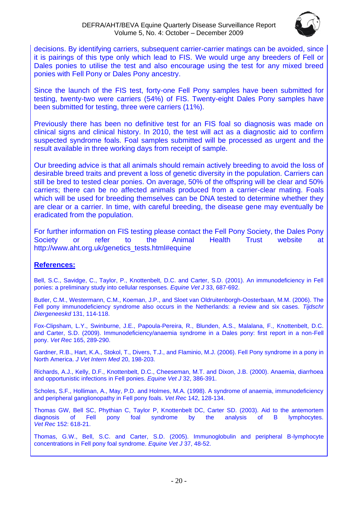

decisions. By identifying carriers, subsequent carrier-carrier matings can be avoided, since it is pairings of this type only which lead to FIS. We would urge any breeders of Fell or Dales ponies to utilise the test and also encourage using the test for any mixed breed ponies with Fell Pony or Dales Pony ancestry.

Since the launch of the FIS test, forty-one Fell Pony samples have been submitted for testing, twenty-two were carriers (54%) of FIS. Twenty-eight Dales Pony samples have been submitted for testing, three were carriers (11%).

Previously there has been no definitive test for an FIS foal so diagnosis was made on clinical signs and clinical history. In 2010, the test will act as a diagnostic aid to confirm suspected syndrome foals. Foal samples submitted will be processed as urgent and the result available in three working days from receipt of sample.

Our breeding advice is that all animals should remain actively breeding to avoid the loss of desirable breed traits and prevent a loss of genetic diversity in the population. Carriers can still be bred to tested clear ponies. On average, 50% of the offspring will be clear and 50% carriers; there can be no affected animals produced from a carrier-clear mating. Foals which will be used for breeding themselves can be DNA tested to determine whether they are clear or a carrier. In time, with careful breeding, the disease gene may eventually be eradicated from the population.

For further information on FIS testing please contact the Fell Pony Society, the Dales Pony<br>Society or refer to the Animal Health Trust website at Society or refer to the Animal Health Trust website at [http://www.aht.org.uk/genetics\\_tests.html#equine](http://www.aht.org.uk/genetics_tests.html#equine)

# **References:**

Bell, S.C., Savidge, C., Taylor, P., Knottenbelt, D.C. and Carter, S.D. (2001). An immunodeficiency in Fell ponies: a preliminary study into cellular responses. *Equine Vet J* 33, 687-692.

Butler, C.M., Westermann, C.M., Koeman, J.P., and Sloet van Oldruitenborgh-Oosterbaan, M.M. (2006). The Fell pony immunodeficiency syndrome also occurs in the Netherlands: a review and six cases. *Tijdschr Diergeneeskd* 131, 114-118.

Fox-Clipsham, L.Y., Swinburne, J.E., Papoula-Pereira, R., Blunden, A.S., Malalana, F., Knottenbelt, D.C. and Carter, S.D. (2009). Immunodeficiency/anaemia syndrome in a Dales pony: first report in a non-Fell pony. *Vet Rec* 165, 289-290.

Gardner, R.B., Hart, K.A., Stokol, T., Divers, T.J., and Flaminio, M.J. (2006). Fell Pony syndrome in a pony in North America. *J Vet Intern Med* 20, 198-203.

Richards, A.J., Kelly, D.F., Knottenbelt, D.C., Cheeseman, M.T. and Dixon, J.B. (2000). Anaemia, diarrhoea and opportunistic infections in Fell ponies. *Equine Vet J* 32, 386-391.

Scholes, S.F., Holliman, A., May, P.D. and Holmes, M.A. (1998). A syndrome of anaemia, immunodeficiency and peripheral ganglionopathy in Fell pony foals. *Vet Rec* 142, 128-134.

Thomas GW, Bell SC, Phythian C, Taylor P, Knottenbelt DC, Carter SD. (2003). Aid to the antemortem diagnosis of Fell pony foal syndrome by the analysis of B lymphocytes. *Vet Rec* 152: 618-21.

Thomas, G.W., Bell, S.C. and Carter, S.D. (2005). Immunoglobulin and peripheral B-lymphocyte concentrations in Fell pony foal syndrome. *Equine Vet J* 37, 48-52.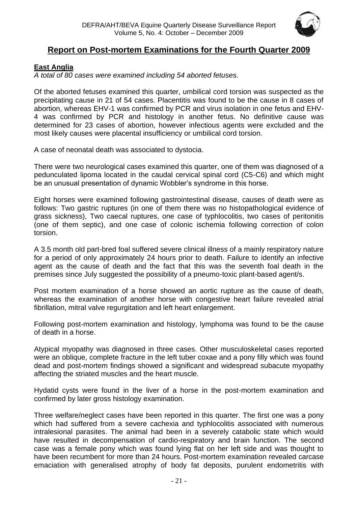

# <span id="page-20-0"></span>**Report on Post-mortem Examinations for the Fourth Quarter 2009**

# <span id="page-20-1"></span>**East Anglia**

*A total of 80 cases were examined including 54 aborted fetuses.*

Of the aborted fetuses examined this quarter, umbilical cord torsion was suspected as the precipitating cause in 21 of 54 cases. Placentitis was found to be the cause in 8 cases of abortion, whereas EHV-1 was confirmed by PCR and virus isolation in one fetus and EHV-4 was confirmed by PCR and histology in another fetus. No definitive cause was determined for 23 cases of abortion, however infectious agents were excluded and the most likely causes were placental insufficiency or umbilical cord torsion.

A case of neonatal death was associated to dystocia.

There were two neurological cases examined this quarter, one of them was diagnosed of a pedunculated lipoma located in the caudal cervical spinal cord (C5-C6) and which might be an unusual presentation of dynamic Wobbler's syndrome in this horse.

Eight horses were examined following gastrointestinal disease, causes of death were as follows: Two gastric ruptures (in one of them there was no histopathological evidence of grass sickness), Two caecal ruptures, one case of typhlocolitis, two cases of peritonitis (one of them septic), and one case of colonic ischemia following correction of colon torsion.

A 3.5 month old part-bred foal suffered severe clinical illness of a mainly respiratory nature for a period of only approximately 24 hours prior to death. Failure to identify an infective agent as the cause of death and the fact that this was the seventh foal death in the premises since July suggested the possibility of a pneumo-toxic plant-based agent/s.

Post mortem examination of a horse showed an aortic rupture as the cause of death, whereas the examination of another horse with congestive heart failure revealed atrial fibrillation, mitral valve regurgitation and left heart enlargement.

Following post-mortem examination and histology, lymphoma was found to be the cause of death in a horse.

Atypical myopathy was diagnosed in three cases. Other musculoskeletal cases reported were an oblique, complete fracture in the left tuber coxae and a pony filly which was found dead and post-mortem findings showed a significant and widespread subacute myopathy affecting the striated muscles and the heart muscle.

Hydatid cysts were found in the liver of a horse in the post-mortem examination and confirmed by later gross histology examination.

Three welfare/neglect cases have been reported in this quarter. The first one was a pony which had suffered from a severe cachexia and typhlocolitis associated with numerous intralesional parasites. The animal had been in a severely catabolic state which would have resulted in decompensation of cardio-respiratory and brain function. The second case was a female pony which was found lying flat on her left side and was thought to have been recumbent for more than 24 hours. Post-mortem examination revealed carcase emaciation with generalised atrophy of body fat deposits, purulent endometritis with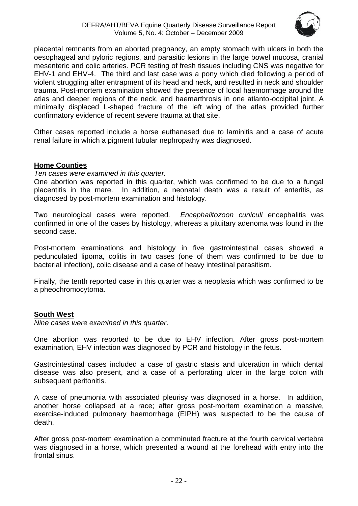

placental remnants from an aborted pregnancy, an empty stomach with ulcers in both the oesophageal and pyloric regions, and parasitic lesions in the large bowel mucosa, cranial mesenteric and colic arteries. PCR testing of fresh tissues including CNS was negative for EHV-1 and EHV-4. The third and last case was a pony which died following a period of violent struggling after entrapment of its head and neck, and resulted in neck and shoulder trauma. Post-mortem examination showed the presence of local haemorrhage around the atlas and deeper regions of the neck, and haemarthrosis in one atlanto-occipital joint. A minimally displaced L-shaped fracture of the left wing of the atlas provided further confirmatory evidence of recent severe trauma at that site.

Other cases reported include a horse euthanased due to laminitis and a case of acute renal failure in which a pigment tubular nephropathy was diagnosed.

# <span id="page-21-0"></span>**Home Counties**

*Ten cases were examined in this quarter.*

One abortion was reported in this quarter, which was confirmed to be due to a fungal placentitis in the mare. In addition, a neonatal death was a result of enteritis, as diagnosed by post-mortem examination and histology.

Two neurological cases were reported. *Encephalitozoon cuniculi* encephalitis was confirmed in one of the cases by histology, whereas a pituitary adenoma was found in the second case.

Post-mortem examinations and histology in five gastrointestinal cases showed a pedunculated lipoma, colitis in two cases (one of them was confirmed to be due to bacterial infection), colic disease and a case of heavy intestinal parasitism.

Finally, the tenth reported case in this quarter was a neoplasia which was confirmed to be a pheochromocytoma.

# <span id="page-21-1"></span>**South West**

*Nine cases were examined in this quarter*.

One abortion was reported to be due to EHV infection. After gross post-mortem examination, EHV infection was diagnosed by PCR and histology in the fetus.

Gastrointestinal cases included a case of gastric stasis and ulceration in which dental disease was also present, and a case of a perforating ulcer in the large colon with subsequent peritonitis.

A case of pneumonia with associated pleurisy was diagnosed in a horse. In addition, another horse collapsed at a race; after gross post-mortem examination a massive, exercise-induced pulmonary haemorrhage (EIPH) was suspected to be the cause of death.

After gross post-mortem examination a comminuted fracture at the fourth cervical vertebra was diagnosed in a horse, which presented a wound at the forehead with entry into the frontal sinus.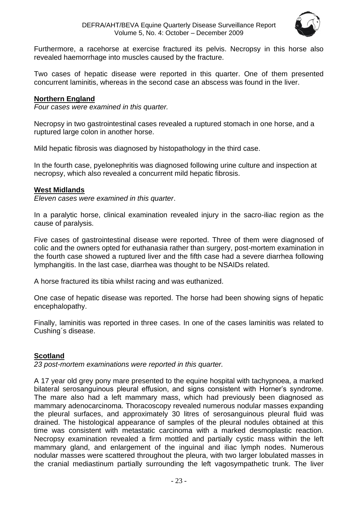

Furthermore, a racehorse at exercise fractured its pelvis. Necropsy in this horse also revealed haemorrhage into muscles caused by the fracture.

Two cases of hepatic disease were reported in this quarter. One of them presented concurrent laminitis, whereas in the second case an abscess was found in the liver.

# <span id="page-22-0"></span>**Northern England**

*Four cases were examined in this quarter.*

Necropsy in two gastrointestinal cases revealed a ruptured stomach in one horse, and a ruptured large colon in another horse.

Mild hepatic fibrosis was diagnosed by histopathology in the third case.

In the fourth case, pyelonephritis was diagnosed following urine culture and inspection at necropsy, which also revealed a concurrent mild hepatic fibrosis.

# <span id="page-22-1"></span>**West Midlands**

*Eleven cases were examined in this quarter*.

In a paralytic horse, clinical examination revealed injury in the sacro-iliac region as the cause of paralysis.

Five cases of gastrointestinal disease were reported. Three of them were diagnosed of colic and the owners opted for euthanasia rather than surgery, post-mortem examination in the fourth case showed a ruptured liver and the fifth case had a severe diarrhea following lymphangitis. In the last case, diarrhea was thought to be NSAIDs related.

A horse fractured its tibia whilst racing and was euthanized.

One case of hepatic disease was reported. The horse had been showing signs of hepatic encephalopathy.

Finally, laminitis was reported in three cases. In one of the cases laminitis was related to Cushing´s disease.

# <span id="page-22-2"></span>**Scotland**

*23 post-mortem examinations were reported in this quarter.* 

A 17 year old grey pony mare presented to the equine hospital with tachypnoea, a marked bilateral serosanguinous pleural effusion, and signs consistent with Horner's syndrome. The mare also had a left mammary mass, which had previously been diagnosed as mammary adenocarcinoma. Thoracoscopy revealed numerous nodular masses expanding the pleural surfaces, and approximately 30 litres of serosanguinous pleural fluid was drained. The histological appearance of samples of the pleural nodules obtained at this time was consistent with metastatic carcinoma with a marked desmoplastic reaction. Necropsy examination revealed a firm mottled and partially cystic mass within the left mammary gland, and enlargement of the inguinal and iliac lymph nodes. Numerous nodular masses were scattered throughout the pleura, with two larger lobulated masses in the cranial mediastinum partially surrounding the left vagosympathetic trunk. The liver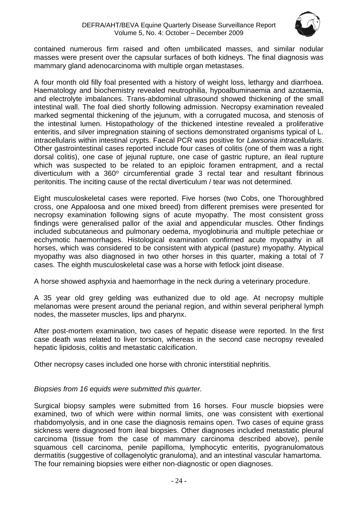

contained numerous firm raised and often umbilicated masses, and similar nodular masses were present over the capsular surfaces of both kidneys. The final diagnosis was mammary gland adenocarcinoma with multiple organ metastases.

A four month old filly foal presented with a history of weight loss, lethargy and diarrhoea. Haematology and biochemistry revealed neutrophilia, hypoalbuminaemia and azotaemia, and electrolyte imbalances. Trans-abdominal ultrasound showed thickening of the small intestinal wall. The foal died shortly following admission. Necropsy examination revealed marked segmental thickening of the jejunum, with a corrugated mucosa, and stenosis of the intestinal lumen. Histopathology of the thickened intestine revealed a proliferative enteritis, and silver impregnation staining of sections demonstrated organisms typical of L. intracellularis within intestinal crypts. Faecal PCR was positive for *Lawsonia intracellularis*. Other gastrointestinal cases reported include four cases of colitis (one of them was a right dorsal colitis), one case of jejunal rupture, one case of gastric rupture, an ileal rupture which was suspected to be related to an epiploic foramen entrapment, and a rectal diverticulum with a  $360^{\circ}$  circumferential grade 3 rectal tear and resultant fibrinous peritonitis. The inciting cause of the rectal diverticulum / tear was not determined.

Eight musculoskeletal cases were reported. Five horses (two Cobs, one Thoroughbred cross, one Appaloosa and one mixed breed) from different premises were presented for necropsy examination following signs of acute myopathy. The most consistent gross findings were generalised pallor of the axial and appendicular muscles. Other findings included subcutaneous and pulmonary oedema, myoglobinuria and multiple petechiae or ecchymotic haemorrhages. Histological examination confirmed acute myopathy in all horses, which was considered to be consistent with atypical (pasture) myopathy. Atypical myopathy was also diagnosed in two other horses in this quarter, making a total of 7 cases. The eighth musculoskeletal case was a horse with fetlock joint disease.

A horse showed asphyxia and haemorrhage in the neck during a veterinary procedure.

A 35 year old grey gelding was euthanized due to old age. At necropsy multiple melanomas were present around the perianal region, and within several peripheral lymph nodes, the masseter muscles, lips and pharynx.

After post-mortem examination, two cases of hepatic disease were reported. In the first case death was related to liver torsion, whereas in the second case necropsy revealed hepatic lipidosis, colitis and metastatic calcification.

Other necropsy cases included one horse with chronic interstitial nephritis.

*Biopsies from 16 equids were submitted this quarter.* 

Surgical biopsy samples were submitted from 16 horses. Four muscle biopsies were examined, two of which were within normal limits, one was consistent with exertional rhabdomyolysis, and in one case the diagnosis remains open. Two cases of equine grass sickness were diagnosed from ileal biopsies. Other diagnoses included metastatic pleural carcinoma (tissue from the case of mammary carcinoma described above), penile squamous cell carcinoma, penile papilloma, lymphocytic enteritis, pyogranulomatous dermatitis (suggestive of collagenolytic granuloma), and an intestinal vascular hamartoma. The four remaining biopsies were either non-diagnostic or open diagnoses.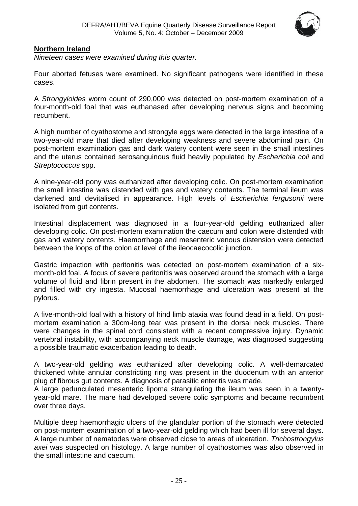

# <span id="page-24-0"></span>**Northern Ireland**

*Nineteen cases were examined during this quarter.*

Four aborted fetuses were examined. No significant pathogens were identified in these cases.

A *Strongyloides* worm count of 290,000 was detected on post-mortem examination of a four-month-old foal that was euthanased after developing nervous signs and becoming recumbent.

A high number of cyathostome and strongyle eggs were detected in the large intestine of a two-year-old mare that died after developing weakness and severe abdominal pain. On post-mortem examination gas and dark watery content were seen in the small intestines and the uterus contained serosanguinous fluid heavily populated by *Escherichia coli* and *Streptococcus* spp.

A nine-year-old pony was euthanized after developing colic. On post-mortem examination the small intestine was distended with gas and watery contents. The terminal ileum was darkened and devitalised in appearance. High levels of *Escherichia fergusonii* were isolated from gut contents.

Intestinal displacement was diagnosed in a four-year-old gelding euthanized after developing colic. On post-mortem examination the caecum and colon were distended with gas and watery contents. Haemorrhage and mesenteric venous distension were detected between the loops of the colon at level of the ileocaecocolic junction.

Gastric impaction with peritonitis was detected on post-mortem examination of a sixmonth-old foal. A focus of severe peritonitis was observed around the stomach with a large volume of fluid and fibrin present in the abdomen. The stomach was markedly enlarged and filled with dry ingesta. Mucosal haemorrhage and ulceration was present at the pylorus.

A five-month-old foal with a history of hind limb ataxia was found dead in a field. On postmortem examination a 30cm-long tear was present in the dorsal neck muscles. There were changes in the spinal cord consistent with a recent compressive injury. Dynamic vertebral instability, with accompanying neck muscle damage, was diagnosed suggesting a possible traumatic exacerbation leading to death.

A two-year-old gelding was euthanized after developing colic. A well-demarcated thickened white annular constricting ring was present in the duodenum with an anterior plug of fibrous gut contents. A diagnosis of parasitic enteritis was made.

A large pedunculated mesenteric lipoma strangulating the ileum was seen in a twentyyear-old mare. The mare had developed severe colic symptoms and became recumbent over three days.

Multiple deep haemorrhagic ulcers of the glandular portion of the stomach were detected on post-mortem examination of a two-year-old gelding which had been ill for several days. A large number of nematodes were observed close to areas of ulceration. *Trichostrongylus axei* was suspected on histology. A large number of cyathostomes was also observed in the small intestine and caecum.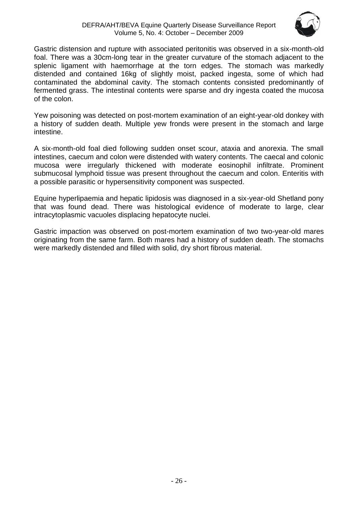

Gastric distension and rupture with associated peritonitis was observed in a six-month-old foal. There was a 30cm-long tear in the greater curvature of the stomach adjacent to the splenic ligament with haemorrhage at the torn edges. The stomach was markedly distended and contained 16kg of slightly moist, packed ingesta, some of which had contaminated the abdominal cavity. The stomach contents consisted predominantly of fermented grass. The intestinal contents were sparse and dry ingesta coated the mucosa of the colon.

Yew poisoning was detected on post-mortem examination of an eight-year-old donkey with a history of sudden death. Multiple yew fronds were present in the stomach and large intestine.

A six-month-old foal died following sudden onset scour, ataxia and anorexia. The small intestines, caecum and colon were distended with watery contents. The caecal and colonic mucosa were irregularly thickened with moderate eosinophil infiltrate. Prominent submucosal lymphoid tissue was present throughout the caecum and colon. Enteritis with a possible parasitic or hypersensitivity component was suspected.

Equine hyperlipaemia and hepatic lipidosis was diagnosed in a six-year-old Shetland pony that was found dead. There was histological evidence of moderate to large, clear intracytoplasmic vacuoles displacing hepatocyte nuclei.

Gastric impaction was observed on post-mortem examination of two two-year-old mares originating from the same farm. Both mares had a history of sudden death. The stomachs were markedly distended and filled with solid, dry short fibrous material.